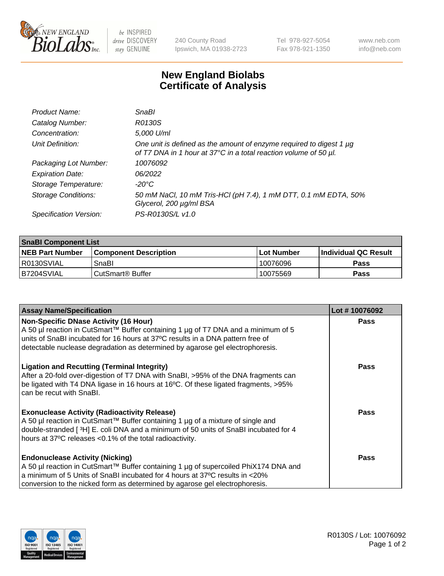

 $be$  INSPIRED drive DISCOVERY stay GENUINE

240 County Road Ipswich, MA 01938-2723 Tel 978-927-5054 Fax 978-921-1350 www.neb.com info@neb.com

## **New England Biolabs Certificate of Analysis**

| Product Name:              | SnaBl                                                                                                                                   |
|----------------------------|-----------------------------------------------------------------------------------------------------------------------------------------|
| Catalog Number:            | R0130S                                                                                                                                  |
| Concentration:             | 5,000 U/ml                                                                                                                              |
| Unit Definition:           | One unit is defined as the amount of enzyme required to digest 1 µg<br>of T7 DNA in 1 hour at 37°C in a total reaction volume of 50 µl. |
| Packaging Lot Number:      | 10076092                                                                                                                                |
| <b>Expiration Date:</b>    | 06/2022                                                                                                                                 |
| Storage Temperature:       | -20°C                                                                                                                                   |
| <b>Storage Conditions:</b> | 50 mM NaCl, 10 mM Tris-HCl (pH 7.4), 1 mM DTT, 0.1 mM EDTA, 50%<br>Glycerol, 200 µg/ml BSA                                              |
| Specification Version:     | PS-R0130S/L v1.0                                                                                                                        |

| <b>SnaBI Component List</b> |                         |              |                             |  |
|-----------------------------|-------------------------|--------------|-----------------------------|--|
| <b>NEB Part Number</b>      | l Component Description | l Lot Number | <b>Individual QC Result</b> |  |
| R0130SVIAL                  | SnaBl                   | 10076096     | Pass                        |  |
| B7204SVIAL                  | i CutSmart® Buffer_     | 10075569     | Pass                        |  |

| <b>Assay Name/Specification</b>                                                                                                                                                                                                                                                                      | Lot #10076092 |
|------------------------------------------------------------------------------------------------------------------------------------------------------------------------------------------------------------------------------------------------------------------------------------------------------|---------------|
| <b>Non-Specific DNase Activity (16 Hour)</b><br>A 50 µl reaction in CutSmart™ Buffer containing 1 µg of T7 DNA and a minimum of 5<br>units of SnaBI incubated for 16 hours at 37°C results in a DNA pattern free of<br>detectable nuclease degradation as determined by agarose gel electrophoresis. | Pass          |
| <b>Ligation and Recutting (Terminal Integrity)</b><br>After a 20-fold over-digestion of T7 DNA with SnaBI, >95% of the DNA fragments can<br>be ligated with T4 DNA ligase in 16 hours at 16°C. Of these ligated fragments, >95%<br>can be recut with SnaBl.                                          | <b>Pass</b>   |
| <b>Exonuclease Activity (Radioactivity Release)</b><br>A 50 µl reaction in CutSmart™ Buffer containing 1 µg of a mixture of single and<br>double-stranded [ $3H$ ] E. coli DNA and a minimum of 50 units of SnaBI incubated for 4<br>hours at 37°C releases <0.1% of the total radioactivity.        | Pass          |
| <b>Endonuclease Activity (Nicking)</b><br>A 50 µl reaction in CutSmart™ Buffer containing 1 µg of supercoiled PhiX174 DNA and<br>a minimum of 5 Units of SnaBI incubated for 4 hours at 37°C results in <20%<br>conversion to the nicked form as determined by agarose gel electrophoresis.          | Pass          |